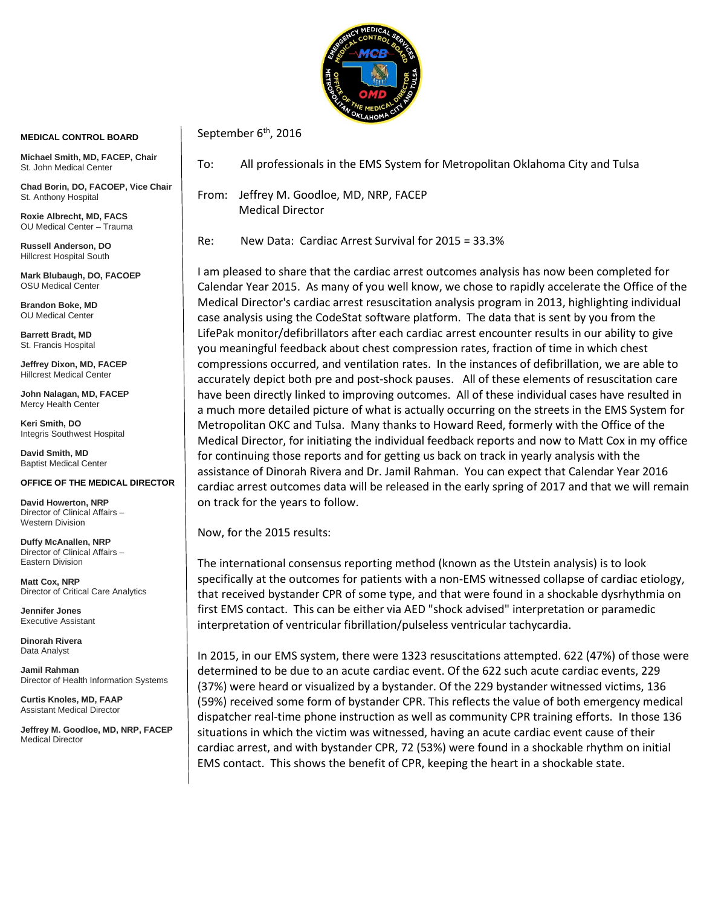

## **MEDICAL CONTROL BOARD**

**Michael Smith, MD, FACEP, Chair** St. John Medical Center

**Chad Borin, DO, FACOEP, Vice Chair**  St. Anthony Hospital

**Roxie Albrecht, MD, FACS** OU Medical Center – Trauma

**Russell Anderson, DO** Hillcrest Hospital South

**Mark Blubaugh, DO, FACOEP** OSU Medical Center

**Brandon Boke, MD** OU Medical Center

**Barrett Bradt, MD** St. Francis Hospital

**Jeffrey Dixon, MD, FACEP** Hillcrest Medical Center

**John Nalagan, MD, FACEP** Mercy Health Center

**Keri Smith, DO** Integris Southwest Hospital

**David Smith, MD** Baptist Medical Center

## **OFFICE OF THE MEDICAL DIRECTOR**

**David Howerton, NRP** Director of Clinical Affairs – Western Division

**Duffy McAnallen, NRP** Director of Clinical Affairs – Eastern Division

**Matt Cox, NRP** Director of Critical Care Analytics

**Jennifer Jones** Executive Assistant

**Dinorah Rivera** Data Analyst

**Jamil Rahman** Director of Health Information Systems

**Curtis Knoles, MD, FAAP** Assistant Medical Director

**Jeffrey M. Goodloe, MD, NRP, FACEP** Medical Director

To: All professionals in the EMS System for Metropolitan Oklahoma City and Tulsa

From: Jeffrey M. Goodloe, MD, NRP, FACEP Medical Director

September  $6<sup>th</sup>$ , 2016

Re: New Data: Cardiac Arrest Survival for 2015 = 33.3%

I am pleased to share that the cardiac arrest outcomes analysis has now been completed for Calendar Year 2015. As many of you well know, we chose to rapidly accelerate the Office of the Medical Director's cardiac arrest resuscitation analysis program in 2013, highlighting individual case analysis using the CodeStat software platform. The data that is sent by you from the LifePak monitor/defibrillators after each cardiac arrest encounter results in our ability to give you meaningful feedback about chest compression rates, fraction of time in which chest compressions occurred, and ventilation rates. In the instances of defibrillation, we are able to accurately depict both pre and post-shock pauses. All of these elements of resuscitation care have been directly linked to improving outcomes. All of these individual cases have resulted in a much more detailed picture of what is actually occurring on the streets in the EMS System for Metropolitan OKC and Tulsa. Many thanks to Howard Reed, formerly with the Office of the Medical Director, for initiating the individual feedback reports and now to Matt Cox in my office for continuing those reports and for getting us back on track in yearly analysis with the assistance of Dinorah Rivera and Dr. Jamil Rahman. You can expect that Calendar Year 2016 cardiac arrest outcomes data will be released in the early spring of 2017 and that we will remain on track for the years to follow.

Now, for the 2015 results:

The international consensus reporting method (known as the Utstein analysis) is to look specifically at the outcomes for patients with a non-EMS witnessed collapse of cardiac etiology, that received bystander CPR of some type, and that were found in a shockable dysrhythmia on first EMS contact. This can be either via AED "shock advised" interpretation or paramedic interpretation of ventricular fibrillation/pulseless ventricular tachycardia.

In 2015, in our EMS system, there were 1323 resuscitations attempted. 622 (47%) of those were determined to be due to an acute cardiac event. Of the 622 such acute cardiac events, 229 (37%) were heard or visualized by a bystander. Of the 229 bystander witnessed victims, 136 (59%) received some form of bystander CPR. This reflects the value of both emergency medical dispatcher real-time phone instruction as well as community CPR training efforts. In those 136 situations in which the victim was witnessed, having an acute cardiac event cause of their cardiac arrest, and with bystander CPR, 72 (53%) were found in a shockable rhythm on initial EMS contact. This shows the benefit of CPR, keeping the heart in a shockable state.